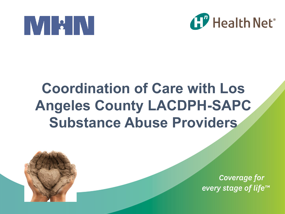



#### **Coordination of Care with Los Angeles County LACDPH-SAPC Substance Abuse Providers**



**Coverage for** every stage of life™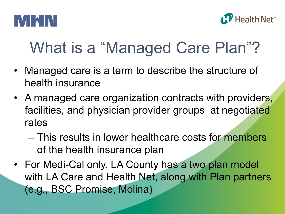



## What is a "Managed Care Plan"?

- Managed care is a term to describe the structure of health insurance
- A managed care organization contracts with providers, facilities, and physician provider groups at negotiated rates
	- This results in lower healthcare costs for members of the health insurance plan
- For Medi-Cal only, LA County has a two plan model with LA Care and Health Net, along with Plan partners (e.g., BSC Promise, Molina)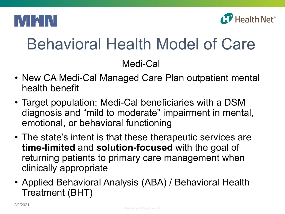



# Behavioral Health Model of Care

Medi-Cal

- New CA Medi-Cal Managed Care Plan outpatient mental health benefit
- Target population: Medi-Cal beneficiaries with a DSM diagnosis and "mild to moderate" impairment in mental, emotional, or behavioral functioning
- The state's intent is that these therapeutic services are **time-limited** and **solution-focused** with the goal of returning patients to primary care management when clinically appropriate
- Applied Behavioral Analysis (ABA) / Behavioral Health Treatment (BHT)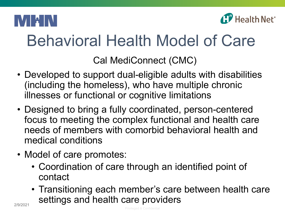



## Behavioral Health Model of Care

Cal MediConnect (CMC)

- Developed to support dual-eligible adults with disabilities (including the homeless), who have multiple chronic illnesses or functional or cognitive limitations
- Designed to bring a fully coordinated, person-centered focus to meeting the complex functional and health care needs of members with comorbid behavioral health and medical conditions
- Model of care promotes:
	- Coordination of care through an identified point of contact
	- Transitioning each member's care between health care settings and health care providers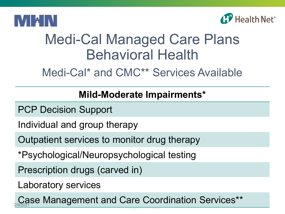



#### Medi-Cal Managed Care Plans Behavioral Health

Medi-Cal\* and CMC\*\* Services Available

#### **Mild-Moderate Impairments\***

- PCP Decision Support
- Individual and group therapy
- Outpatient services to monitor drug therapy
- \*Psychological/Neuropsychological testing
- Prescription drugs (carved in)
- Laboratory services

Case Management and Care Coordination Services\*\*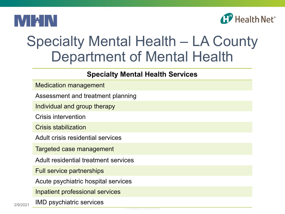



#### Specialty Mental Health – LA County Department of Mental Health

#### **Specialty Mental Health Services**

Assessment and treatment planning

Individual and group therapy

Crisis intervention

Crisis stabilization

Adult crisis residential services

Targeted case management

Adult residential treatment services

Full service partnerships

Acute psychiatric hospital services

Inpatient professional services

2/9/2021 IMD psychiatric services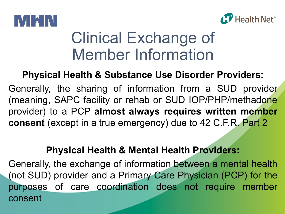



### Clinical Exchange of Member Information

#### **Physical Health & Substance Use Disorder Providers:**

Generally, the sharing of information from a SUD provider (meaning, SAPC facility or rehab or SUD IOP/PHP/methadone provider) to a PCP **almost always requires written member consent** (except in a true emergency) due to 42 C.F.R. Part 2

#### **Physical Health & Mental Health Providers:**

Generally, the exchange of information between a mental health (not SUD) provider and a Primary Care Physician (PCP) for the purposes of care coordination does not require member consent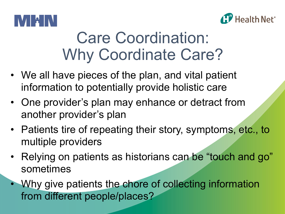



## Care Coordination: Why Coordinate Care?

- We all have pieces of the plan, and vital patient information to potentially provide holistic care
- One provider's plan may enhance or detract from another provider's plan
- Patients tire of repeating their story, symptoms, etc., to multiple providers
- Relying on patients as historians can be "touch and go" sometimes
- Why give patients the chore of collecting information from different people/places?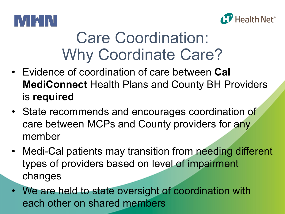



## Care Coordination: Why Coordinate Care?

- Evidence of coordination of care between **Cal MediConnect** Health Plans and County BH Providers is **required**
- State recommends and encourages coordination of care between MCPs and County providers for any member
- Medi-Cal patients may transition from needing different types of providers based on level of impairment changes
- We are held to state oversight of coordination with each other on shared members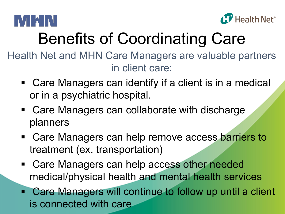



# Benefits of Coordinating Care

Health Net and MHN Care Managers are valuable partners in client care:

- Care Managers can identify if a client is in a medical or in a psychiatric hospital.
- Care Managers can collaborate with discharge planners
- Care Managers can help remove access barriers to treatment (ex. transportation)
- Care Managers can help access other needed medical/physical health and mental health services
- Care Managers will continue to follow up until a client is connected with care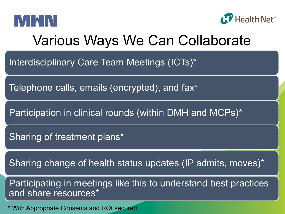



#### Various Ways We Can Collaborate

Interdisciplinary Care Team Meetings (ICTs)\*

Telephone calls, emails (encrypted), and fax\*

Participation in clinical rounds (within DMH and MCPs)\*

Sharing of treatment plans\*

Sharing change of health status updates (IP admits, moves)\*

Participating in meetings like this to understand best practices and share resources\*

\* With Appropriate Consents and ROI secured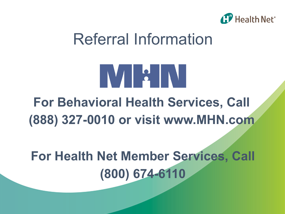

### Referral Information



#### **For Behavioral Health Services, Call (888) 327-0010 or visit www.MHN.com**

#### **For Health Net Member Services, Call (800) 674-6110**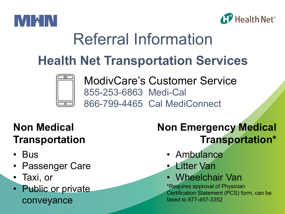



# Referral Information

#### **Health Net Transportation Services**



ModivCare's Customer Service 855-253-6863 Medi-Cal 866-799-4465 Cal MediConnect

#### **Non Medical Transportation**

- Bus
- Passenger Care
- Taxi, or
- Public or private conveyance

#### **Non Emergency Medical Transportation\***

- Ambulance
- Litter Van
- Wheelchair Van

\*Requires approval of Physician Certification Statement (PCS) form, can be faxed to 877-457-3352